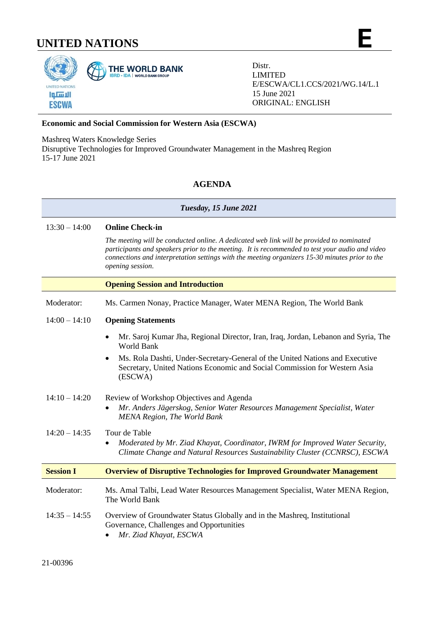# **UNITED NATIONS E**



Distr. LIMITED E/ESCWA/CL1.CCS/2021/WG.14/L.1 15 June 2021 ORIGINAL: ENGLISH

### **Economic and Social Commission for Western Asia (ESCWA)**

Mashreq Waters Knowledge Series

Disruptive Technologies for Improved Groundwater Management in the Mashreq Region 15-17 June 2021

## **AGENDA**

#### *Tuesday, 15 June 2021*

13:30 – 14:00 **Online Check-in**

*The meeting will be conducted online. A dedicated web link will be provided to nominated participants and speakers prior to the meeting. It is recommended to test your audio and video connections and interpretation settings with the meeting organizers 15-30 minutes prior to the opening session.*

## **Opening Session and Introduction**

Moderator: Ms. Carmen Nonay, Practice Manager, Water MENA Region, The World Bank

#### 14:00 – 14:10 **Opening Statements**

- Mr. Saroj Kumar Jha, Regional Director, Iran, Iraq, Jordan, Lebanon and Syria, The World Bank
- Ms. Rola Dashti, Under-Secretary-General of the United Nations and Executive Secretary, United Nations Economic and Social Commission for Western Asia (ESCWA)
- 14:10 14:20 Review of Workshop Objectives and Agenda • *Mr. Anders Jägerskog, Senior Water Resources Management Specialist, Water MENA Region, The World Bank*
- 14:20 14:35 Tour de Table • *Moderated by Mr. Ziad Khayat, Coordinator, IWRM for Improved Water Security, Climate Change and Natural Resources Sustainability Cluster (CCNRSC), ESCWA*

## **Session I Overview of Disruptive Technologies for Improved Groundwater Management**

Moderator: Ms. Amal Talbi, Lead Water Resources Management Specialist, Water MENA Region, The World Bank

## 14:35 – 14:55 Overview of Groundwater Status Globally and in the Mashreq, Institutional Governance, Challenges and Opportunities

• *Mr. Ziad Khayat, ESCWA*

21-00396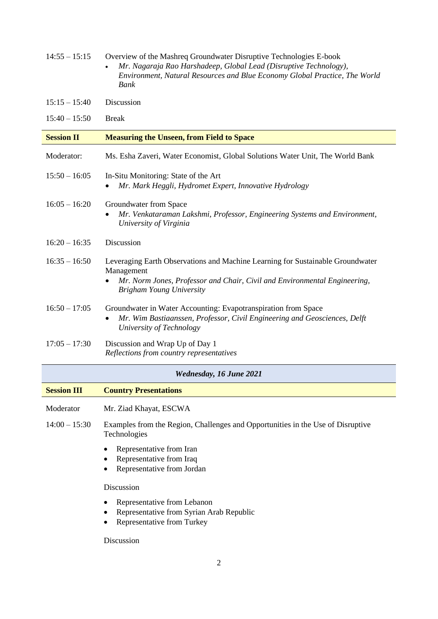| $14:55 - 15:15$    | Overview of the Mashreq Groundwater Disruptive Technologies E-book<br>Mr. Nagaraja Rao Harshadeep, Global Lead (Disruptive Technology),<br>$\bullet$<br>Environment, Natural Resources and Blue Economy Global Practice, The World<br>Bank |
|--------------------|--------------------------------------------------------------------------------------------------------------------------------------------------------------------------------------------------------------------------------------------|
| $15:15 - 15:40$    | Discussion                                                                                                                                                                                                                                 |
| $15:40 - 15:50$    | <b>Break</b>                                                                                                                                                                                                                               |
| <b>Session II</b>  | <b>Measuring the Unseen, from Field to Space</b>                                                                                                                                                                                           |
| Moderator:         | Ms. Esha Zaveri, Water Economist, Global Solutions Water Unit, The World Bank                                                                                                                                                              |
| $15:50 - 16:05$    | In-Situ Monitoring: State of the Art<br>Mr. Mark Heggli, Hydromet Expert, Innovative Hydrology                                                                                                                                             |
| $16:05 - 16:20$    | Groundwater from Space<br>Mr. Venkataraman Lakshmi, Professor, Engineering Systems and Environment,<br>University of Virginia                                                                                                              |
| $16:20 - 16:35$    | Discussion                                                                                                                                                                                                                                 |
| $16:35 - 16:50$    | Leveraging Earth Observations and Machine Learning for Sustainable Groundwater<br>Management<br>Mr. Norm Jones, Professor and Chair, Civil and Environmental Engineering,<br><b>Brigham Young University</b>                               |
| $16:50 - 17:05$    | Groundwater in Water Accounting: Evapotranspiration from Space<br>Mr. Wim Bastiaanssen, Professor, Civil Engineering and Geosciences, Delft<br>University of Technology                                                                    |
| $17:05 - 17:30$    | Discussion and Wrap Up of Day 1<br>Reflections from country representatives                                                                                                                                                                |
|                    | <b>Wednesday, 16 June 2021</b>                                                                                                                                                                                                             |
| <b>Session III</b> | <b>Country Presentations</b>                                                                                                                                                                                                               |
| Moderator          | Mr. Ziad Khayat, ESCWA                                                                                                                                                                                                                     |
| $14:00 - 15:30$    | Examples from the Region, Challenges and Opportunities in the Use of Disruptive<br>Technologies                                                                                                                                            |
|                    | Representative from Iran<br>Representative from Iraq<br>Representative from Jordan                                                                                                                                                         |
|                    | Discussion                                                                                                                                                                                                                                 |
|                    | Representative from Lebanon<br>Representative from Syrian Arab Republic<br>Representative from Turkey<br>٠                                                                                                                                 |
|                    | Discussion                                                                                                                                                                                                                                 |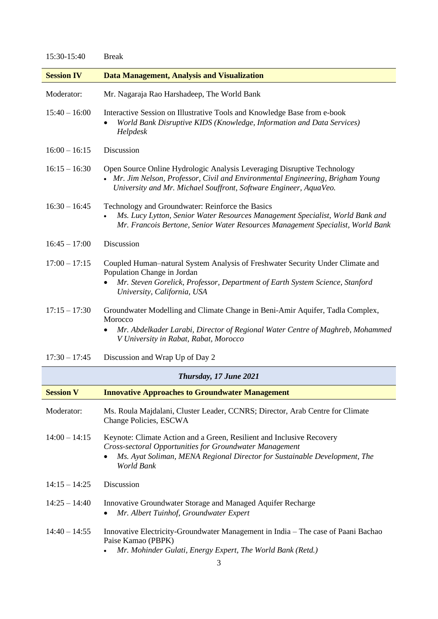| 15:30-15:40       | <b>Break</b>                                                                                                                                                                                                                  |
|-------------------|-------------------------------------------------------------------------------------------------------------------------------------------------------------------------------------------------------------------------------|
| <b>Session IV</b> | <b>Data Management, Analysis and Visualization</b>                                                                                                                                                                            |
| Moderator:        | Mr. Nagaraja Rao Harshadeep, The World Bank                                                                                                                                                                                   |
| $15:40 - 16:00$   | Interactive Session on Illustrative Tools and Knowledge Base from e-book<br>World Bank Disruptive KIDS (Knowledge, Information and Data Services)<br>٠<br>Helpdesk                                                            |
| $16:00 - 16:15$   | Discussion                                                                                                                                                                                                                    |
| $16:15 - 16:30$   | Open Source Online Hydrologic Analysis Leveraging Disruptive Technology<br>Mr. Jim Nelson, Professor, Civil and Environmental Engineering, Brigham Young<br>University and Mr. Michael Souffront, Software Engineer, AquaVeo. |
| $16:30 - 16:45$   | Technology and Groundwater: Reinforce the Basics<br>Ms. Lucy Lytton, Senior Water Resources Management Specialist, World Bank and<br>Mr. Francois Bertone, Senior Water Resources Management Specialist, World Bank           |
| $16:45 - 17:00$   | Discussion                                                                                                                                                                                                                    |
| $17:00 - 17:15$   | Coupled Human-natural System Analysis of Freshwater Security Under Climate and<br>Population Change in Jordan<br>Mr. Steven Gorelick, Professor, Department of Earth System Science, Stanford<br>University, California, USA  |
| $17:15 - 17:30$   | Groundwater Modelling and Climate Change in Beni-Amir Aquifer, Tadla Complex,<br>Morocco<br>Mr. Abdelkader Larabi, Director of Regional Water Centre of Maghreb, Mohammed<br>٠<br>V University in Rabat, Rabat, Morocco       |
| $17:30 - 17:45$   | Discussion and Wrap Up of Day 2                                                                                                                                                                                               |
|                   | Thursday, 17 June 2021                                                                                                                                                                                                        |
| <b>Session V</b>  | <b>Innovative Approaches to Groundwater Management</b>                                                                                                                                                                        |
| Moderator:        | Ms. Roula Majdalani, Cluster Leader, CCNRS; Director, Arab Centre for Climate<br>Change Policies, ESCWA                                                                                                                       |
| $14:00 - 14:15$   | Keynote: Climate Action and a Green, Resilient and Inclusive Recovery<br>Cross-sectoral Opportunities for Groundwater Management<br>Ms. Ayat Soliman, MENA Regional Director for Sustainable Development, The<br>World Bank   |
| $14:15 - 14:25$   | Discussion                                                                                                                                                                                                                    |
| $14:25 - 14:40$   | Innovative Groundwater Storage and Managed Aquifer Recharge<br>Mr. Albert Tuinhof, Groundwater Expert                                                                                                                         |
| $14:40 - 14:55$   | Innovative Electricity-Groundwater Management in India – The case of Paani Bachao<br>Paise Kamao (PBPK)<br>Mr. Mohinder Gulati, Energy Expert, The World Bank (Retd.)                                                         |